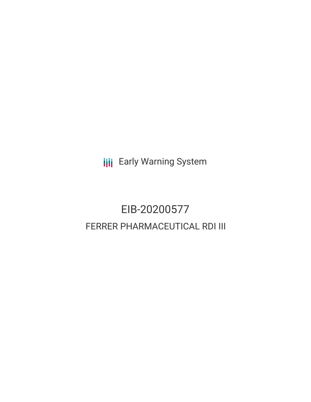**III** Early Warning System

# EIB-20200577 FERRER PHARMACEUTICAL RDI III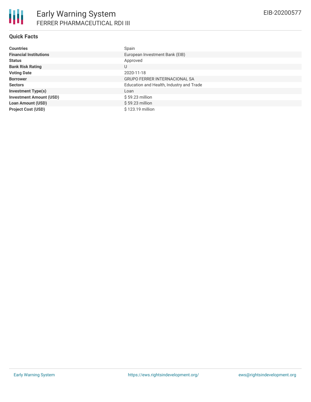| <b>Countries</b>               | Spain                                    |
|--------------------------------|------------------------------------------|
| <b>Financial Institutions</b>  | European Investment Bank (EIB)           |
| <b>Status</b>                  | Approved                                 |
| <b>Bank Risk Rating</b>        | U                                        |
| <b>Voting Date</b>             | 2020-11-18                               |
| <b>Borrower</b>                | <b>GRUPO FERRER INTERNACIONAL SA</b>     |
| <b>Sectors</b>                 | Education and Health, Industry and Trade |
| <b>Investment Type(s)</b>      | Loan                                     |
| <b>Investment Amount (USD)</b> | $$59.23$ million                         |
| <b>Loan Amount (USD)</b>       | $$59.23$ million                         |
| <b>Project Cost (USD)</b>      | \$123.19 million                         |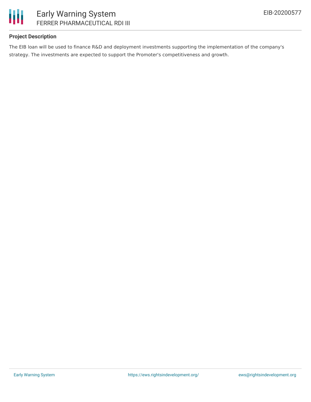

#### **Project Description**

The EIB loan will be used to finance R&D and deployment investments supporting the implementation of the company's strategy. The investments are expected to support the Promoter's competitiveness and growth.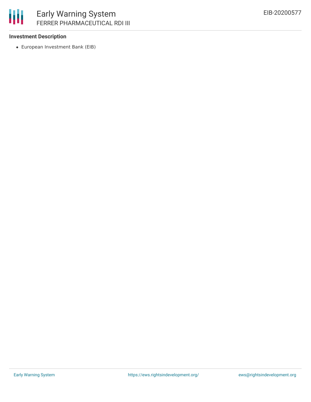

#### **Investment Description**

European Investment Bank (EIB)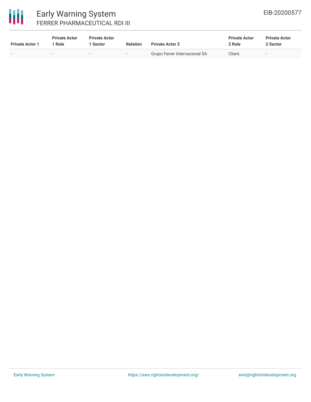# 冊

### Early Warning System FERRER PHARMACEUTICAL RDI III

| <b>Private Actor 1</b> | <b>Private Actor</b><br>Role | <b>Private Actor</b><br><b>Sector</b> | <b>Relation</b>          | <b>Private Actor 2</b>        | <b>Private Actor</b><br>2 Role | <b>Private Actor</b><br>2 Sector |  |
|------------------------|------------------------------|---------------------------------------|--------------------------|-------------------------------|--------------------------------|----------------------------------|--|
|                        |                              | -                                     | $\overline{\phantom{a}}$ | Grupo Ferrer Internacional SA | Client                         | $\sim$                           |  |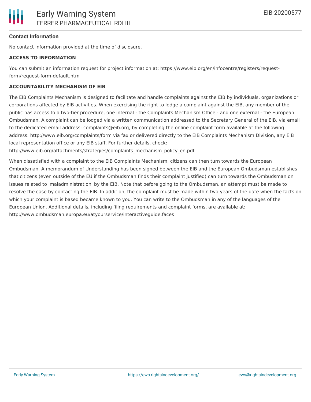#### **Contact Information**

No contact information provided at the time of disclosure.

#### **ACCESS TO INFORMATION**

You can submit an information request for project information at: https://www.eib.org/en/infocentre/registers/requestform/request-form-default.htm

#### **ACCOUNTABILITY MECHANISM OF EIB**

The EIB Complaints Mechanism is designed to facilitate and handle complaints against the EIB by individuals, organizations or corporations affected by EIB activities. When exercising the right to lodge a complaint against the EIB, any member of the public has access to a two-tier procedure, one internal - the Complaints Mechanism Office - and one external - the European Ombudsman. A complaint can be lodged via a written communication addressed to the Secretary General of the EIB, via email to the dedicated email address: complaints@eib.org, by completing the online complaint form available at the following address: http://www.eib.org/complaints/form via fax or delivered directly to the EIB Complaints Mechanism Division, any EIB local representation office or any EIB staff. For further details, check:

http://www.eib.org/attachments/strategies/complaints\_mechanism\_policy\_en.pdf

When dissatisfied with a complaint to the EIB Complaints Mechanism, citizens can then turn towards the European Ombudsman. A memorandum of Understanding has been signed between the EIB and the European Ombudsman establishes that citizens (even outside of the EU if the Ombudsman finds their complaint justified) can turn towards the Ombudsman on issues related to 'maladministration' by the EIB. Note that before going to the Ombudsman, an attempt must be made to resolve the case by contacting the EIB. In addition, the complaint must be made within two years of the date when the facts on which your complaint is based became known to you. You can write to the Ombudsman in any of the languages of the European Union. Additional details, including filing requirements and complaint forms, are available at: http://www.ombudsman.europa.eu/atyourservice/interactiveguide.faces